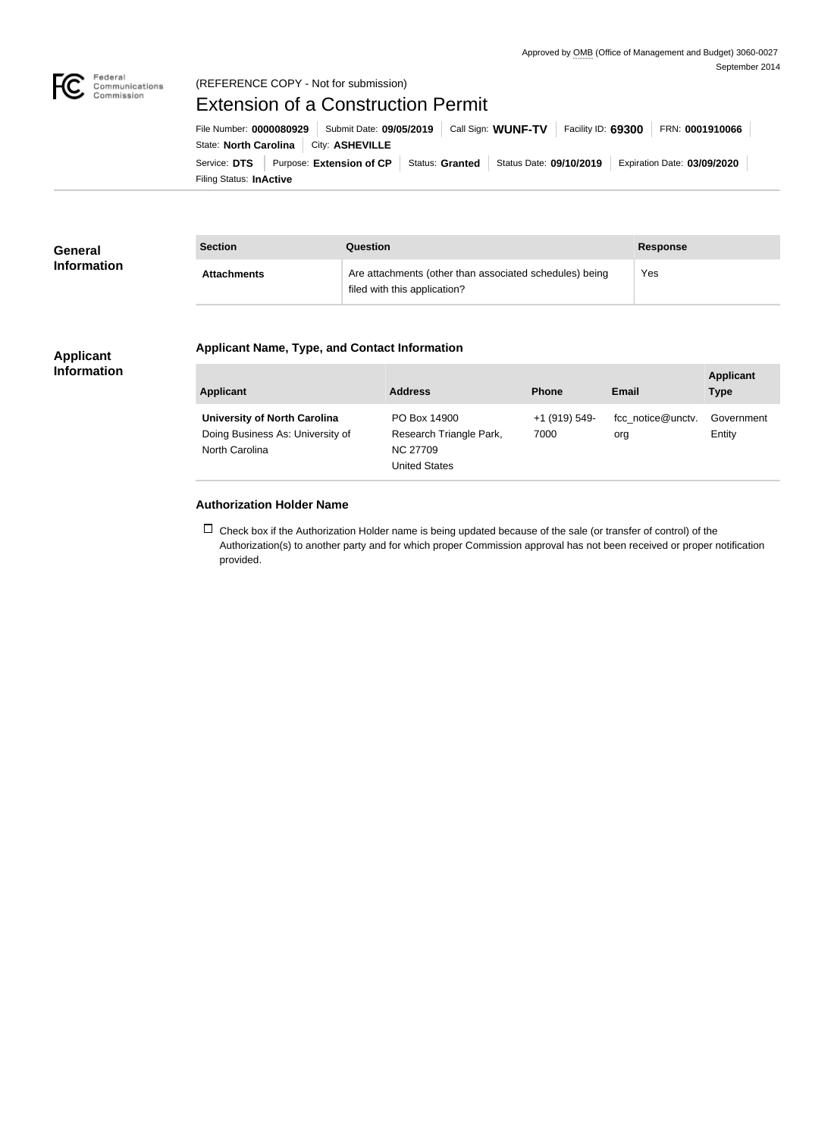

### (REFERENCE COPY - Not for submission)

# Extension of a Construction Permit

Filing Status: **InActive** Service: **DTS** Purpose: Extension of CP Status: Granted Status Date: 09/10/2019 Expiration Date: 03/09/2020 State: **North Carolina** City: **ASHEVILLE** File Number: **0000080929** Submit Date: **09/05/2019** Call Sign: **WUNF-TV** Facility ID: **69300** FRN: **0001910066**

| <b>General</b><br><b>Information</b> | <b>Section</b>     | Question                                                                                | <b>Response</b> |
|--------------------------------------|--------------------|-----------------------------------------------------------------------------------------|-----------------|
|                                      | <b>Attachments</b> | Are attachments (other than associated schedules) being<br>filed with this application? | Yes             |

#### **Applicant Name, Type, and Contact Information**

#### **Applicant Information**

| <b>Applicant</b>                                                                          | <b>Address</b>                                                              | <b>Phone</b>          | Email                    | <b>Applicant</b><br><b>Type</b> |
|-------------------------------------------------------------------------------------------|-----------------------------------------------------------------------------|-----------------------|--------------------------|---------------------------------|
| <b>University of North Carolina</b><br>Doing Business As: University of<br>North Carolina | PO Box 14900<br>Research Triangle Park,<br><b>NC 27709</b><br>United States | +1 (919) 549-<br>7000 | fcc notice@unctv.<br>org | Government<br>Entity            |

#### **Authorization Holder Name**

 $\Box$  Check box if the Authorization Holder name is being updated because of the sale (or transfer of control) of the Authorization(s) to another party and for which proper Commission approval has not been received or proper notification provided.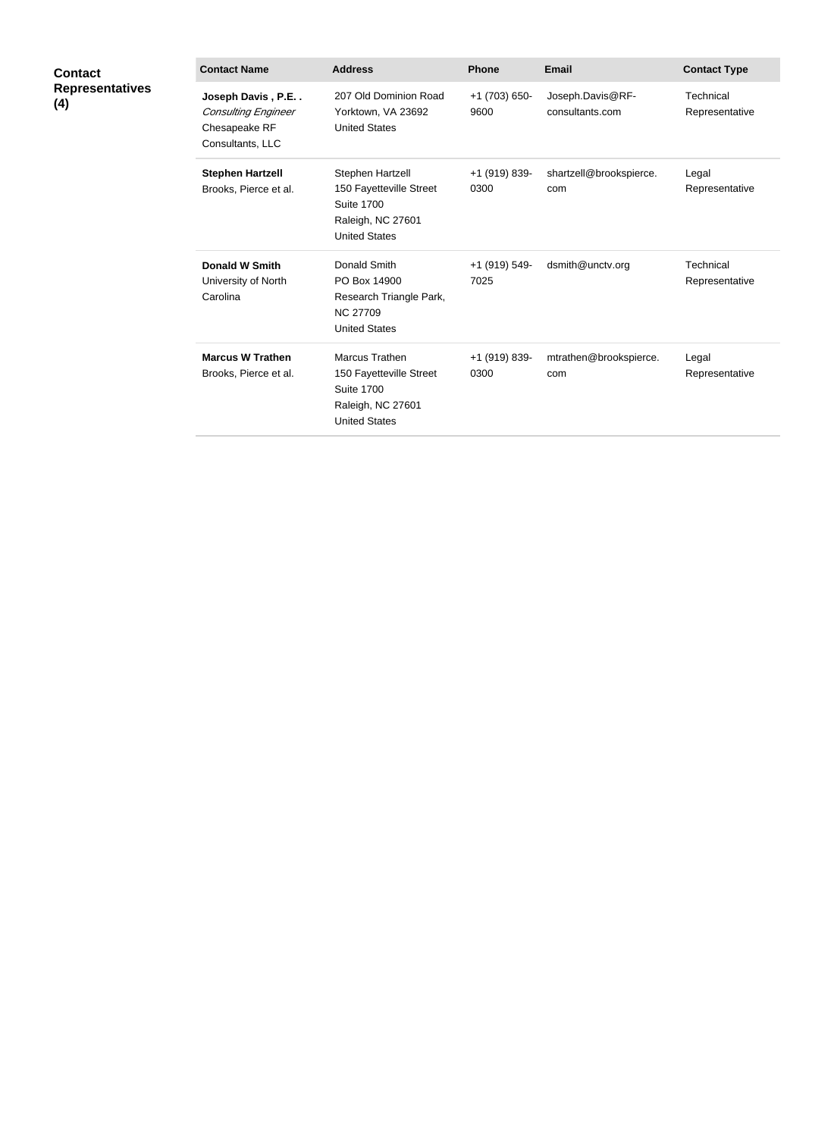| <b>Contact</b><br><b>Representatives</b><br>(4) | <b>Contact Name</b>                                                                  | <b>Address</b>                                                                                                | <b>Phone</b>          | <b>Email</b>                        | <b>Contact Type</b>         |
|-------------------------------------------------|--------------------------------------------------------------------------------------|---------------------------------------------------------------------------------------------------------------|-----------------------|-------------------------------------|-----------------------------|
|                                                 | Joseph Davis, P.E<br><b>Consulting Engineer</b><br>Chesapeake RF<br>Consultants, LLC | 207 Old Dominion Road<br>Yorktown, VA 23692<br><b>United States</b>                                           | +1 (703) 650-<br>9600 | Joseph.Davis@RF-<br>consultants.com | Technical<br>Representative |
|                                                 | <b>Stephen Hartzell</b><br>Brooks, Pierce et al.                                     | Stephen Hartzell<br>150 Fayetteville Street<br><b>Suite 1700</b><br>Raleigh, NC 27601<br><b>United States</b> | +1 (919) 839-<br>0300 | shartzell@brookspierce.<br>com      | Legal<br>Representative     |
|                                                 | <b>Donald W Smith</b><br>University of North<br>Carolina                             | Donald Smith<br>PO Box 14900<br>Research Triangle Park,<br><b>NC 27709</b><br><b>United States</b>            | +1 (919) 549-<br>7025 | dsmith@unctv.org                    | Technical<br>Representative |
|                                                 | <b>Marcus W Trathen</b><br>Brooks, Pierce et al.                                     | Marcus Trathen<br>150 Fayetteville Street<br><b>Suite 1700</b><br>Raleigh, NC 27601<br><b>United States</b>   | +1 (919) 839-<br>0300 | mtrathen@brookspierce.<br>com       | Legal<br>Representative     |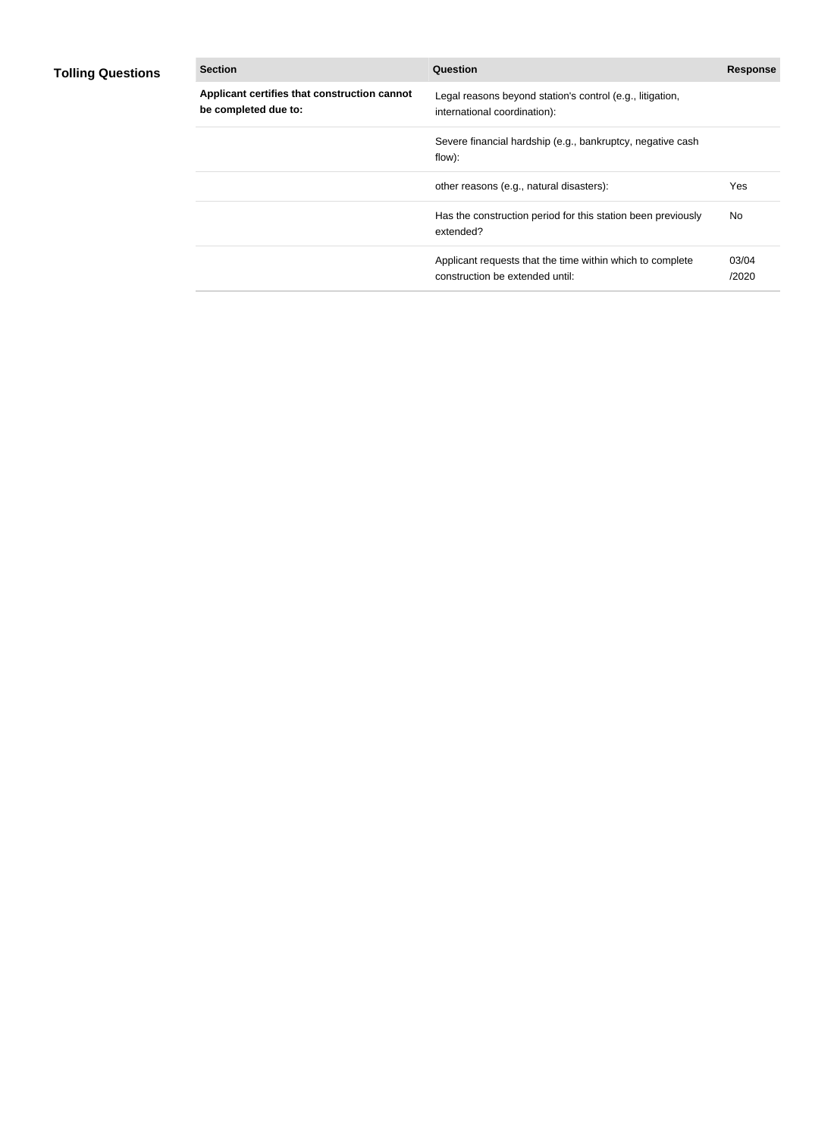## **Tolling Questions**

| <b>Section</b>                                                       | Question                                                                                     | <b>Response</b> |
|----------------------------------------------------------------------|----------------------------------------------------------------------------------------------|-----------------|
| Applicant certifies that construction cannot<br>be completed due to: | Legal reasons beyond station's control (e.g., litigation,<br>international coordination):    |                 |
|                                                                      | Severe financial hardship (e.g., bankruptcy, negative cash<br>flow):                         |                 |
|                                                                      | other reasons (e.g., natural disasters):                                                     | Yes             |
|                                                                      | Has the construction period for this station been previously<br>extended?                    | No.             |
|                                                                      | Applicant requests that the time within which to complete<br>construction be extended until: | 03/04<br>/2020  |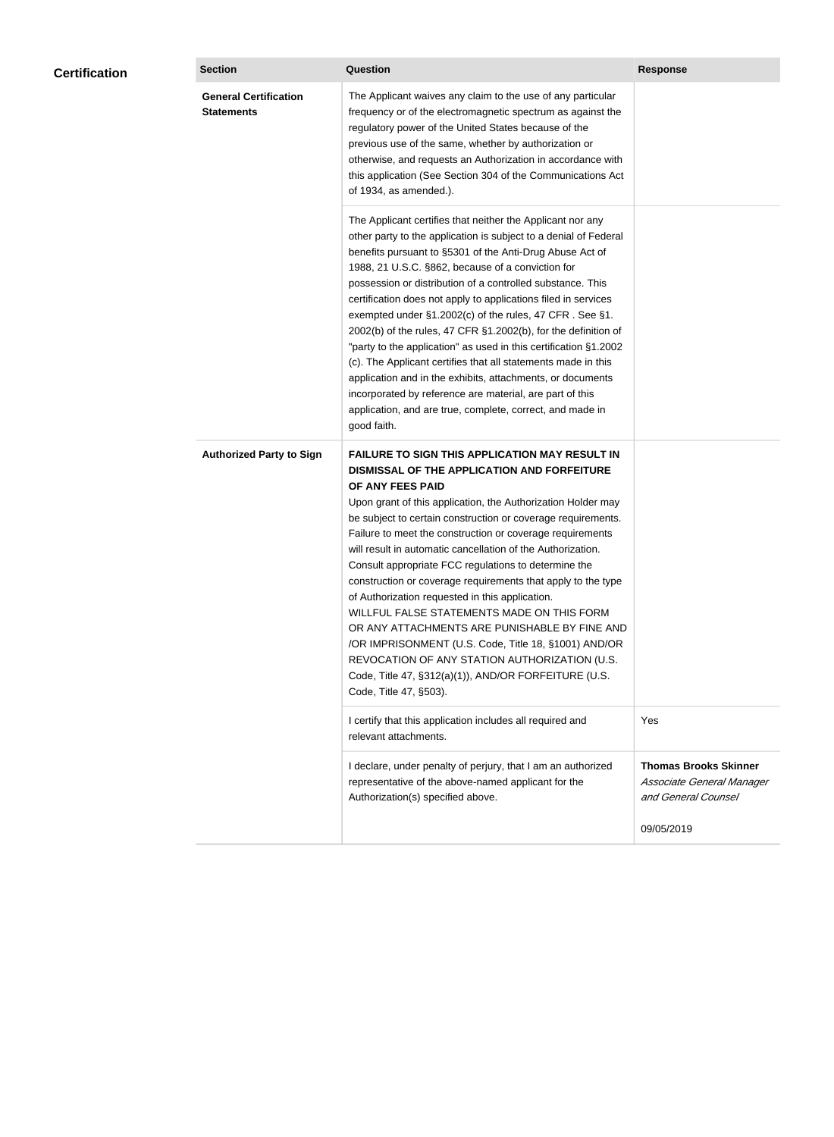| <b>Certification</b> | <b>Section</b>                                    | <b>Question</b>                                                                                                                                                                                                                                                                                                                                                                                                                                                                                                                                                                                                                                                                                                                                                                                                                                           | <b>Response</b>                                                                  |
|----------------------|---------------------------------------------------|-----------------------------------------------------------------------------------------------------------------------------------------------------------------------------------------------------------------------------------------------------------------------------------------------------------------------------------------------------------------------------------------------------------------------------------------------------------------------------------------------------------------------------------------------------------------------------------------------------------------------------------------------------------------------------------------------------------------------------------------------------------------------------------------------------------------------------------------------------------|----------------------------------------------------------------------------------|
|                      | <b>General Certification</b><br><b>Statements</b> | The Applicant waives any claim to the use of any particular<br>frequency or of the electromagnetic spectrum as against the<br>regulatory power of the United States because of the<br>previous use of the same, whether by authorization or<br>otherwise, and requests an Authorization in accordance with<br>this application (See Section 304 of the Communications Act<br>of 1934, as amended.).                                                                                                                                                                                                                                                                                                                                                                                                                                                       |                                                                                  |
|                      |                                                   | The Applicant certifies that neither the Applicant nor any<br>other party to the application is subject to a denial of Federal<br>benefits pursuant to §5301 of the Anti-Drug Abuse Act of<br>1988, 21 U.S.C. §862, because of a conviction for<br>possession or distribution of a controlled substance. This<br>certification does not apply to applications filed in services<br>exempted under §1.2002(c) of the rules, 47 CFR. See §1.<br>2002(b) of the rules, 47 CFR §1.2002(b), for the definition of<br>"party to the application" as used in this certification §1.2002<br>(c). The Applicant certifies that all statements made in this<br>application and in the exhibits, attachments, or documents<br>incorporated by reference are material, are part of this<br>application, and are true, complete, correct, and made in<br>good faith.   |                                                                                  |
|                      | <b>Authorized Party to Sign</b>                   | <b>FAILURE TO SIGN THIS APPLICATION MAY RESULT IN</b><br>DISMISSAL OF THE APPLICATION AND FORFEITURE<br>OF ANY FEES PAID<br>Upon grant of this application, the Authorization Holder may<br>be subject to certain construction or coverage requirements.<br>Failure to meet the construction or coverage requirements<br>will result in automatic cancellation of the Authorization.<br>Consult appropriate FCC regulations to determine the<br>construction or coverage requirements that apply to the type<br>of Authorization requested in this application.<br>WILLFUL FALSE STATEMENTS MADE ON THIS FORM<br>OR ANY ATTACHMENTS ARE PUNISHABLE BY FINE AND<br>/OR IMPRISONMENT (U.S. Code, Title 18, §1001) AND/OR<br>REVOCATION OF ANY STATION AUTHORIZATION (U.S.<br>Code, Title 47, §312(a)(1)), AND/OR FORFEITURE (U.S.<br>Code, Title 47, §503). |                                                                                  |
|                      |                                                   | I certify that this application includes all required and<br>relevant attachments.                                                                                                                                                                                                                                                                                                                                                                                                                                                                                                                                                                                                                                                                                                                                                                        | Yes                                                                              |
|                      |                                                   | I declare, under penalty of perjury, that I am an authorized<br>representative of the above-named applicant for the<br>Authorization(s) specified above.                                                                                                                                                                                                                                                                                                                                                                                                                                                                                                                                                                                                                                                                                                  | <b>Thomas Brooks Skinner</b><br>Associate General Manager<br>and General Counsel |
|                      |                                                   |                                                                                                                                                                                                                                                                                                                                                                                                                                                                                                                                                                                                                                                                                                                                                                                                                                                           | 09/05/2019                                                                       |